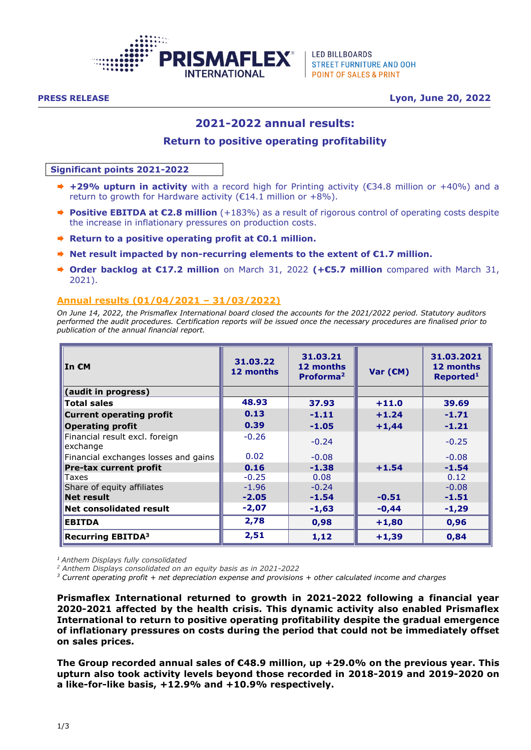

**LED BILLBOARDS STREET FURNITURE AND OOH POINT OF SALES & PRINT** 

**PRESS RELEASE Lyon, June 20, 2022**

# **2021-2022 annual results:**

### **Return to positive operating profitability**

#### **Significant points 2021-2022**

- **+29% upturn in activity** with a record high for Printing activity (€34.8 million or +40%) and a return to growth for Hardware activity ( $E14.1$  million or  $+8\%$ ).
- **Positive EBITDA at €2.8 million** (+183%) as a result of rigorous control of operating costs despite the increase in inflationary pressures on production costs.
- **Return to a positive operating profit at €0.1 million.**
- **Net result impacted by non-recurring elements to the extent of €1.7 million.**
- **Order backlog at €17.2 million** on March 31, 2022 **(+€5.7 million** compared with March 31, 2021).

### **Annual results (01/04/2021 – 31/03/2022)**

*On June 14, 2022, the Prismaflex International board closed the accounts for the 2021/2022 period. Statutory auditors performed the audit procedures. Certification reports will be issued once the necessary procedures are finalised prior to publication of the annual financial report.* 

| ∥In €M                                     | 31.03.22<br>12 months | 31.03.21<br>12 months<br>Proforma <sup>2</sup> | Var $(\epsilon M)$ | 31.03.2021<br>12 months<br>Reported <sup>1</sup> |
|--------------------------------------------|-----------------------|------------------------------------------------|--------------------|--------------------------------------------------|
| (audit in progress)                        |                       |                                                |                    |                                                  |
| Total sales                                | 48.93                 | 37.93                                          | $+11.0$            | 39.69                                            |
| Current operating profit                   | 0.13                  | $-1.11$                                        | $+1.24$            | $-1.71$                                          |
| <b>Operating profit</b>                    | 0.39                  | $-1.05$                                        | $+1,44$            | $-1.21$                                          |
| Financial result excl. foreign<br>exchange | $-0.26$               | $-0.24$                                        |                    | $-0.25$                                          |
| Financial exchanges losses and gains       | 0.02                  | $-0.08$                                        |                    | $-0.08$                                          |
| Pre-tax current profit                     | 0.16                  | $-1.38$                                        | $+1.54$            | $-1.54$                                          |
| ∣Taxes                                     | $-0.25$               | 0.08                                           |                    | 0.12                                             |
| Share of equity affiliates                 | $-1.96$               | $-0.24$                                        |                    | $-0.08$                                          |
| Net result                                 | $-2.05$               | $-1.54$                                        | $-0.51$            | $-1.51$                                          |
| Net consolidated result                    | $-2,07$               | $-1,63$                                        | $-0,44$            | $-1,29$                                          |
| <b>EBITDA</b>                              | 2,78                  | 0,98                                           | $+1,80$            | 0,96                                             |
| <b>Recurring EBITDA3</b>                   | 2,51                  | 1,12                                           | $+1,39$            | 0,84                                             |

*<sup>1</sup>Anthem Displays fully consolidated*

*<sup>2</sup> Anthem Displays consolidated on an equity basis as in 2021-2022*

*<sup>3</sup> Current operating profit + net depreciation expense and provisions + other calculated income and charges*

**Prismaflex International returned to growth in 2021-2022 following a financial year 2020-2021 affected by the health crisis. This dynamic activity also enabled Prismaflex International to return to positive operating profitability despite the gradual emergence of inflationary pressures on costs during the period that could not be immediately offset on sales prices.**

**The Group recorded annual sales of €48.9 million, up +29.0% on the previous year. This upturn also took activity levels beyond those recorded in 2018-2019 and 2019-2020 on a like-for-like basis, +12.9% and +10.9% respectively.**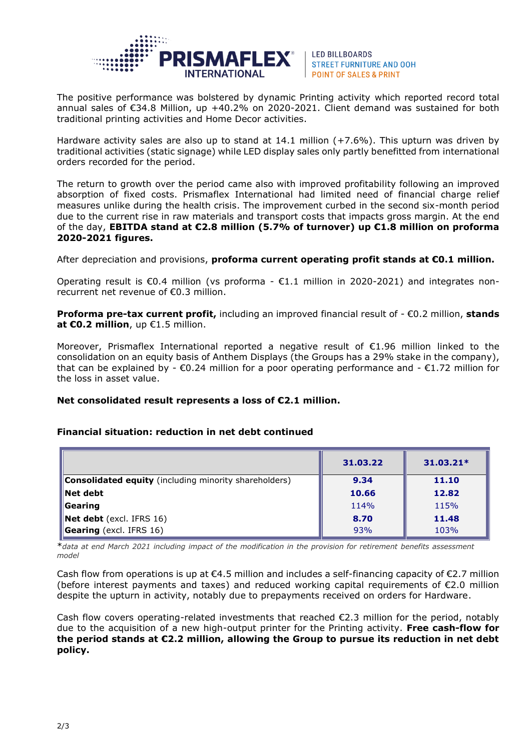

**LED BILLBOARDS STREET FURNITURE AND OOH POINT OF SALES & PRINT** 

The positive performance was bolstered by dynamic Printing activity which reported record total annual sales of €34.8 Million, up +40.2% on 2020-2021. Client demand was sustained for both traditional printing activities and Home Decor activities.

Hardware activity sales are also up to stand at 14.1 million (+7.6%). This upturn was driven by traditional activities (static signage) while LED display sales only partly benefitted from international orders recorded for the period.

The return to growth over the period came also with improved profitability following an improved absorption of fixed costs. Prismaflex International had limited need of financial charge relief measures unlike during the health crisis. The improvement curbed in the second six-month period due to the current rise in raw materials and transport costs that impacts gross margin. At the end of the day, **EBITDA stand at €2.8 million (5.7% of turnover) up €1.8 million on proforma 2020-2021 figures.**

After depreciation and provisions, **proforma current operating profit stands at €0.1 million.**

Operating result is  $\epsilon$ 0.4 million (vs proforma -  $\epsilon$ 1.1 million in 2020-2021) and integrates nonrecurrent net revenue of €0.3 million.

**Proforma pre-tax current profit,** including an improved financial result of - €0.2 million, **stands at €0.2 million**, up €1.5 million.

Moreover, Prismaflex International reported a negative result of €1.96 million linked to the consolidation on an equity basis of Anthem Displays (the Groups has a 29% stake in the company), that can be explained by -  $\epsilon$ 0.24 million for a poor operating performance and -  $\epsilon$ 1.72 million for the loss in asset value.

## **Net consolidated result represents a loss of €2.1 million.**

### **Financial situation: reduction in net debt continued**

|                                                              | 31,03,22 | $31.03.21*$ |
|--------------------------------------------------------------|----------|-------------|
| <b>Consolidated equity</b> (including minority shareholders) | 9.34     | 11.10       |
| $\blacksquare$ Net debt                                      | 10.66    | 12.82       |
| $\blacksquare$ Gearing                                       | 114%     | 115%        |
| Net debt (excl. IFRS 16)                                     | 8.70     | 11.48       |
| Gearing (excl. IFRS 16)                                      | 93%      | 103%        |

\**data at end March 2021 including impact of the modification in the provision for retirement benefits assessment model*

Cash flow from operations is up at  $\epsilon$ 4.5 million and includes a self-financing capacity of  $\epsilon$ 2.7 million (before interest payments and taxes) and reduced working capital requirements of €2.0 million despite the upturn in activity, notably due to prepayments received on orders for Hardware.

Cash flow covers operating-related investments that reached  $\epsilon$ 2.3 million for the period, notably due to the acquisition of a new high-output printer for the Printing activity. **Free cash-flow for the period stands at €2.2 million, allowing the Group to pursue its reduction in net debt policy.**